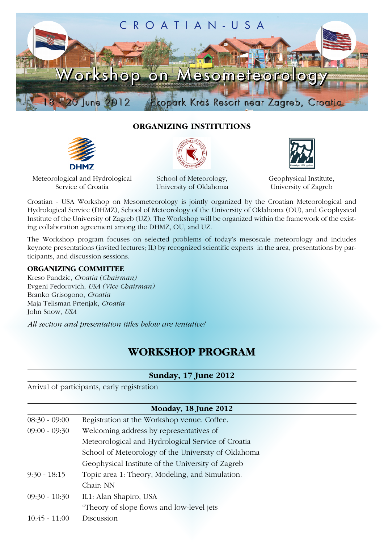

### **ORGANIZING INSTITUTIONS**







Meteorological and Hydrological Service of Croatia

School of Meteorology, University of Oklahoma Geophysical Institute, University of Zagreb

Croatian - USA Workshop on Mesometeorology is jointly organized by the Croatian Meteorological and Hydrological Service (DHMZ), School of Meteorology of the University of Oklahoma (OU), and Geophysical Institute of the University of Zagreb (UZ). The Workshop will be organized within the framework of the existing collaboration agreement among the DHMZ, OU, and UZ.

The Workshop program focuses on selected problems of today's mesoscale meteorology and includes keynote presentations (invited lectures; IL) by recognized scientific experts in the area, presentations by participants, and discussion sessions.

#### **ORGANIZING COMMITTEE**

Kreso Pandzic, *Croatia (Chairman)* Evgeni Fedorovich, *USA (Vice Chairman)* Branko Grisogono, *Croatia* Maja Telisman Prtenjak, *Croatia* John Snow, *USA*

*All section and presentation titles below are tentative!*

# **WORKSHOP PROGRAM**

### **Sunday, 17 June 2012**

Arrival of participants, early registration

| Monday, 18 June 2012                                |  |
|-----------------------------------------------------|--|
| Registration at the Workshop venue. Coffee.         |  |
| Welcoming address by representatives of             |  |
| Meteorological and Hydrological Service of Croatia  |  |
| School of Meteorology of the University of Oklahoma |  |
| Geophysical Institute of the University of Zagreb   |  |
| Topic area 1: Theory, Modeling, and Simulation.     |  |
| Chair: NN                                           |  |
| IL1: Alan Shapiro, USA                              |  |
| "Theory of slope flows and low-level jets           |  |
| Discussion                                          |  |
|                                                     |  |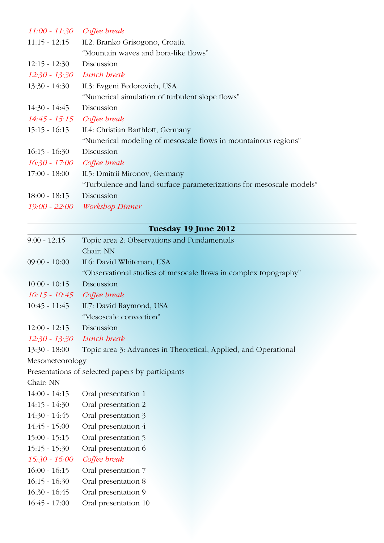| $9.00 - 12.15$             | Topic area 2: Observations and Fundamentals                          |
|----------------------------|----------------------------------------------------------------------|
|                            | Tuesday 19 June 2012                                                 |
|                            |                                                                      |
|                            | 19:00 - 22:00 Workshop Dinner                                        |
| $18:00 - 18:15$            | Discussion                                                           |
|                            | "Turbulence and land-surface parameterizations for mesoscale models" |
| $17:00 - 18:00$            | IL5: Dmitrii Mironov, Germany                                        |
| 16:30 - 17:00              | Coffee break                                                         |
| $16:15 - 16:30$            | Discussion                                                           |
|                            | "Numerical modeling of mesoscale flows in mountainous regions"       |
| $15:15 - 16:15$            | IL4: Christian Barthlott, Germany                                    |
| 14:45 - 15:15 Coffee break |                                                                      |
| $14:30 - 14:45$            | Discussion                                                           |
|                            | "Numerical simulation of turbulent slope flows"                      |
| $13:30 - 14:30$            | IL3: Evgeni Fedorovich, USA                                          |
| $12:30 - 13:30$            | Lunch break                                                          |
| $12:15 - 12:30$            | Discussion                                                           |
|                            | "Mountain waves and bora-like flows"                                 |
| $11:15 - 12:15$            | IL2: Branko Grisogono, Croatia                                       |
| 11:00 - 11:30 Coffee break |                                                                      |

| Topic area 2: Observations and Fundamentals                     |
|-----------------------------------------------------------------|
| Chair: NN                                                       |
| IL6: David Whiteman, USA                                        |
| "Observational studies of mesocale flows in complex topography" |
| Discussion                                                      |
| Coffee break                                                    |
| IL7: David Raymond, USA                                         |
| "Mesoscale convection"                                          |
| Discussion                                                      |
| $12:30 - 13:30$ Lunch break                                     |
| Topic area 3: Advances in Theoretical, Applied, and Operational |
| Mesometeorology                                                 |
| Presentations of selected papers by participants                |
|                                                                 |

Chair: NN

- 14:00 14:15 Oral presentation 1
- 14:15 14:30 Oral presentation 2
- 14:30 14:45 Oral presentation 3
- 14:45 15:00 Oral presentation 4 15:00 - 15:15 Oral presentation 5
- 
- 15:15 15:30 Oral presentation 6
- *15:30 16:00 Coffee break*
- 16:00 16:15 Oral presentation 7
- 16:15 16:30 Oral presentation 8
- 16:30 16:45 Oral presentation 9
- 16:45 17:00 Oral presentation 10